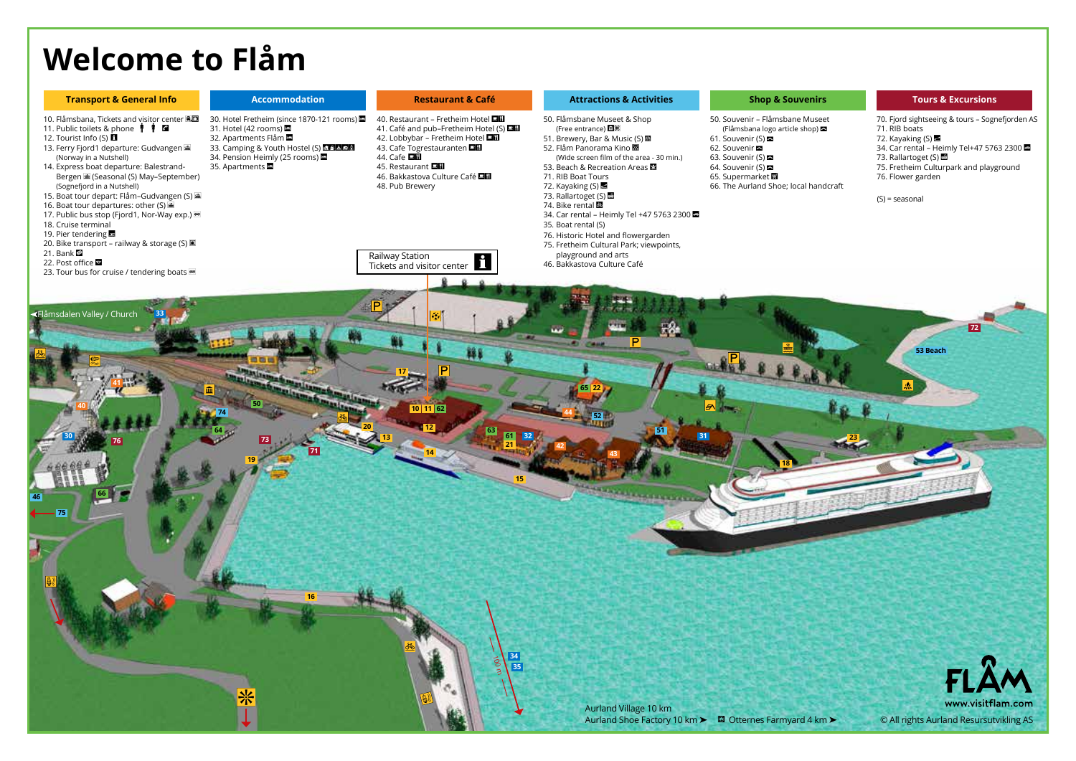## **Welcome to Flåm**